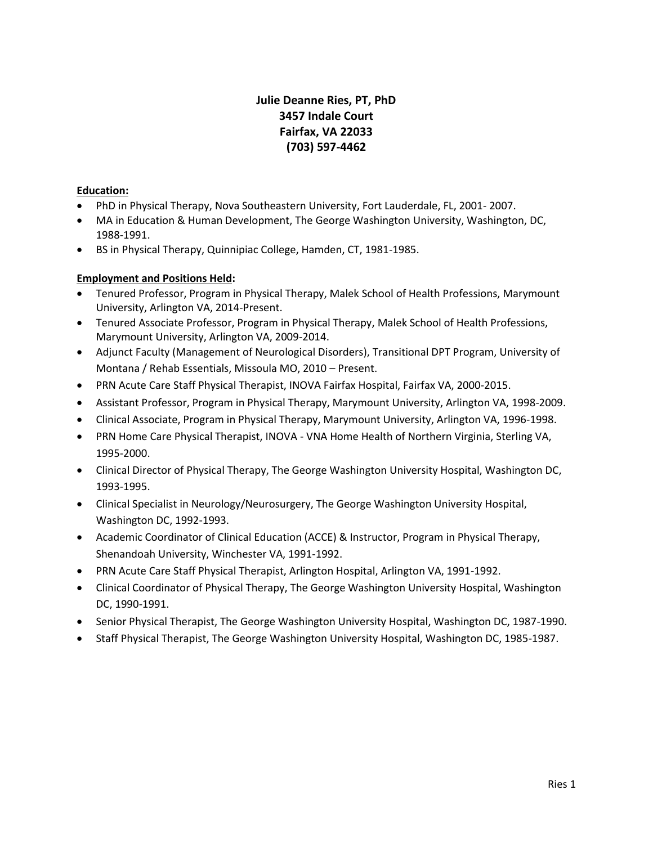# **Julie Deanne Ries, PT, PhD 3457 Indale Court Fairfax, VA 22033 (703) 597-4462**

### **Education:**

- PhD in Physical Therapy, Nova Southeastern University, Fort Lauderdale, FL, 2001- 2007.
- MA in Education & Human Development, The George Washington University, Washington, DC, 1988-1991.
- BS in Physical Therapy, Quinnipiac College, Hamden, CT, 1981-1985.

### **Employment and Positions Held:**

- Tenured Professor, Program in Physical Therapy, Malek School of Health Professions, Marymount University, Arlington VA, 2014-Present.
- Tenured Associate Professor, Program in Physical Therapy, Malek School of Health Professions, Marymount University, Arlington VA, 2009-2014.
- Adjunct Faculty (Management of Neurological Disorders), Transitional DPT Program, University of Montana / Rehab Essentials, Missoula MO, 2010 – Present.
- PRN Acute Care Staff Physical Therapist, INOVA Fairfax Hospital, Fairfax VA, 2000-2015.
- Assistant Professor, Program in Physical Therapy, Marymount University, Arlington VA, 1998-2009.
- Clinical Associate, Program in Physical Therapy, Marymount University, Arlington VA, 1996-1998.
- PRN Home Care Physical Therapist, INOVA VNA Home Health of Northern Virginia, Sterling VA, 1995-2000.
- Clinical Director of Physical Therapy, The George Washington University Hospital, Washington DC, 1993-1995.
- Clinical Specialist in Neurology/Neurosurgery, The George Washington University Hospital, Washington DC, 1992-1993.
- Academic Coordinator of Clinical Education (ACCE) & Instructor, Program in Physical Therapy, Shenandoah University, Winchester VA, 1991-1992.
- PRN Acute Care Staff Physical Therapist, Arlington Hospital, Arlington VA, 1991-1992.
- Clinical Coordinator of Physical Therapy, The George Washington University Hospital, Washington DC, 1990-1991.
- Senior Physical Therapist, The George Washington University Hospital, Washington DC, 1987-1990.
- Staff Physical Therapist, The George Washington University Hospital, Washington DC, 1985-1987.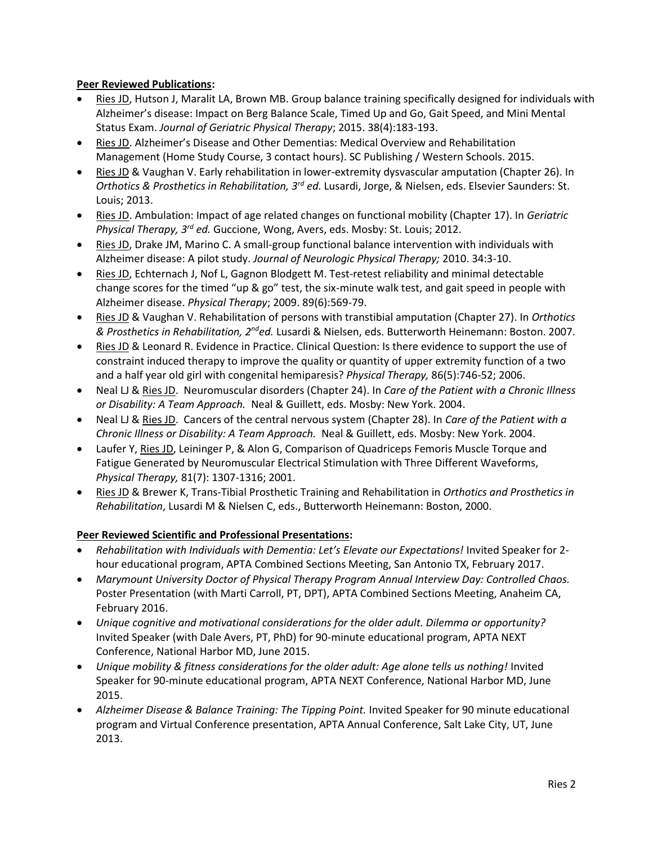### **Peer Reviewed Publications:**

- Ries JD, Hutson J, Maralit LA, Brown MB. Group balance training specifically designed for individuals with Alzheimer's disease: Impact on Berg Balance Scale, Timed Up and Go, Gait Speed, and Mini Mental Status Exam. *Journal of Geriatric Physical Therapy*; 2015. 38(4):183-193.
- Ries JD. Alzheimer's Disease and Other Dementias: Medical Overview and Rehabilitation Management (Home Study Course, 3 contact hours). SC Publishing / Western Schools. 2015.
- Ries JD & Vaughan V. Early rehabilitation in lower-extremity dysvascular amputation (Chapter 26). In *Orthotics & Prosthetics in Rehabilitation, 3rd ed.* Lusardi, Jorge, & Nielsen, eds. Elsevier Saunders: St. Louis; 2013.
- Ries JD. Ambulation: Impact of age related changes on functional mobility (Chapter 17). In *Geriatric Physical Therapy, 3rd ed.* Guccione, Wong, Avers, eds. Mosby: St. Louis; 2012.
- Ries JD, Drake JM, Marino C. A small-group functional balance intervention with individuals with Alzheimer disease: A pilot study. *Journal of Neurologic Physical Therapy;* 2010. 34:3-10.
- Ries JD, Echternach J, Nof L, Gagnon Blodgett M. Test-retest reliability and minimal detectable change scores for the timed "up & go" test, the six-minute walk test, and gait speed in people with Alzheimer disease. *Physical Therapy*; 2009. 89(6):569-79.
- Ries JD & Vaughan V. Rehabilitation of persons with transtibial amputation (Chapter 27). In *Orthotics & Prosthetics in Rehabilitation, 2nded.* Lusardi & Nielsen, eds. Butterworth Heinemann: Boston. 2007.
- Ries JD & Leonard R. Evidence in Practice. Clinical Question: Is there evidence to support the use of constraint induced therapy to improve the quality or quantity of upper extremity function of a two and a half year old girl with congenital hemiparesis? *Physical Therapy,* 86(5):746-52; 2006.
- Neal LJ & Ries JD. Neuromuscular disorders (Chapter 24). In *Care of the Patient with a Chronic Illness or Disability: A Team Approach.* Neal & Guillett, eds. Mosby: New York. 2004.
- Neal LJ & Ries JD. Cancers of the central nervous system (Chapter 28). In *Care of the Patient with a Chronic Illness or Disability: A Team Approach.* Neal & Guillett, eds. Mosby: New York. 2004.
- Laufer Y, Ries JD, Leininger P, & Alon G, Comparison of Quadriceps Femoris Muscle Torque and Fatigue Generated by Neuromuscular Electrical Stimulation with Three Different Waveforms, *Physical Therapy,* 81(7): 1307-1316; 2001.
- Ries JD & Brewer K, Trans-Tibial Prosthetic Training and Rehabilitation in *Orthotics and Prosthetics in Rehabilitation*, Lusardi M & Nielsen C, eds., Butterworth Heinemann: Boston, 2000.

## **Peer Reviewed Scientific and Professional Presentations:**

- *Rehabilitation with Individuals with Dementia: Let's Elevate our Expectations!* Invited Speaker for 2 hour educational program, APTA Combined Sections Meeting, San Antonio TX, February 2017.
- *Marymount University Doctor of Physical Therapy Program Annual Interview Day: Controlled Chaos.* Poster Presentation (with Marti Carroll, PT, DPT), APTA Combined Sections Meeting, Anaheim CA, February 2016.
- *Unique cognitive and motivational considerations for the older adult. Dilemma or opportunity?*  Invited Speaker (with Dale Avers, PT, PhD) for 90-minute educational program, APTA NEXT Conference, National Harbor MD, June 2015.
- *Unique mobility & fitness considerations for the older adult: Age alone tells us nothing!* Invited Speaker for 90-minute educational program, APTA NEXT Conference, National Harbor MD, June 2015.
- *Alzheimer Disease & Balance Training: The Tipping Point.* Invited Speaker for 90 minute educational program and Virtual Conference presentation, APTA Annual Conference, Salt Lake City, UT, June 2013.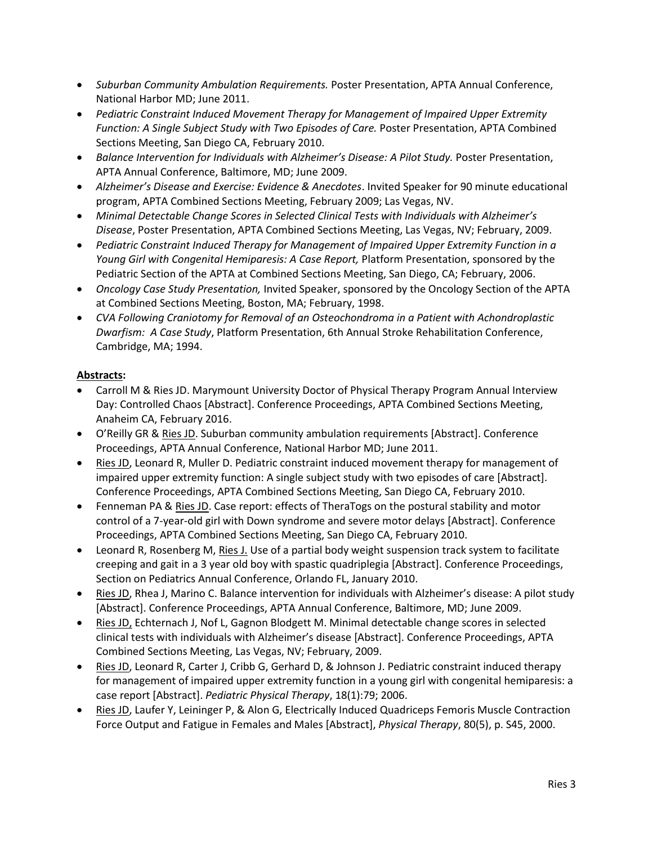- *Suburban Community Ambulation Requirements.* Poster Presentation, APTA Annual Conference, National Harbor MD; June 2011.
- *Pediatric Constraint Induced Movement Therapy for Management of Impaired Upper Extremity*  Function: A Single Subject Study with Two Episodes of Care. Poster Presentation, APTA Combined Sections Meeting, San Diego CA, February 2010.
- Balance Intervention for Individuals with Alzheimer's Disease: A Pilot Study. Poster Presentation, APTA Annual Conference, Baltimore, MD; June 2009.
- *Alzheimer's Disease and Exercise: Evidence & Anecdotes*. Invited Speaker for 90 minute educational program, APTA Combined Sections Meeting, February 2009; Las Vegas, NV.
- *Minimal Detectable Change Scores in Selected Clinical Tests with Individuals with Alzheimer's Disease*, Poster Presentation, APTA Combined Sections Meeting, Las Vegas, NV; February, 2009.
- *Pediatric Constraint Induced Therapy for Management of Impaired Upper Extremity Function in a Young Girl with Congenital Hemiparesis: A Case Report,* Platform Presentation, sponsored by the Pediatric Section of the APTA at Combined Sections Meeting, San Diego, CA; February, 2006.
- *Oncology Case Study Presentation,* Invited Speaker, sponsored by the Oncology Section of the APTA at Combined Sections Meeting, Boston, MA; February, 1998.
- *CVA Following Craniotomy for Removal of an Osteochondroma in a Patient with Achondroplastic Dwarfism: A Case Study*, Platform Presentation, 6th Annual Stroke Rehabilitation Conference, Cambridge, MA; 1994.

## **Abstracts:**

- Carroll M & Ries JD. Marymount University Doctor of Physical Therapy Program Annual Interview Day: Controlled Chaos [Abstract]. Conference Proceedings, APTA Combined Sections Meeting, Anaheim CA, February 2016.
- O'Reilly GR & Ries JD. Suburban community ambulation requirements [Abstract]. Conference Proceedings, APTA Annual Conference, National Harbor MD; June 2011.
- Ries JD, Leonard R, Muller D. Pediatric constraint induced movement therapy for management of impaired upper extremity function: A single subject study with two episodes of care [Abstract]. Conference Proceedings, APTA Combined Sections Meeting, San Diego CA, February 2010.
- Fenneman PA & Ries JD. Case report: effects of TheraTogs on the postural stability and motor control of a 7-year-old girl with Down syndrome and severe motor delays [Abstract]. Conference Proceedings, APTA Combined Sections Meeting, San Diego CA, February 2010.
- Leonard R, Rosenberg M, Ries J. Use of a partial body weight suspension track system to facilitate creeping and gait in a 3 year old boy with spastic quadriplegia [Abstract]. Conference Proceedings, Section on Pediatrics Annual Conference, Orlando FL, January 2010.
- Ries JD, Rhea J, Marino C. Balance intervention for individuals with Alzheimer's disease: A pilot study [Abstract]. Conference Proceedings, APTA Annual Conference, Baltimore, MD; June 2009.
- Ries JD, Echternach J, Nof L, Gagnon Blodgett M. Minimal detectable change scores in selected clinical tests with individuals with Alzheimer's disease [Abstract]. Conference Proceedings, APTA Combined Sections Meeting, Las Vegas, NV; February, 2009.
- Ries JD, Leonard R, Carter J, Cribb G, Gerhard D, & Johnson J. Pediatric constraint induced therapy for management of impaired upper extremity function in a young girl with congenital hemiparesis: a case report [Abstract]. *Pediatric Physical Therapy*, 18(1):79; 2006.
- Ries JD, Laufer Y, Leininger P, & Alon G, Electrically Induced Quadriceps Femoris Muscle Contraction Force Output and Fatigue in Females and Males [Abstract], *Physical Therapy*, 80(5), p. S45, 2000.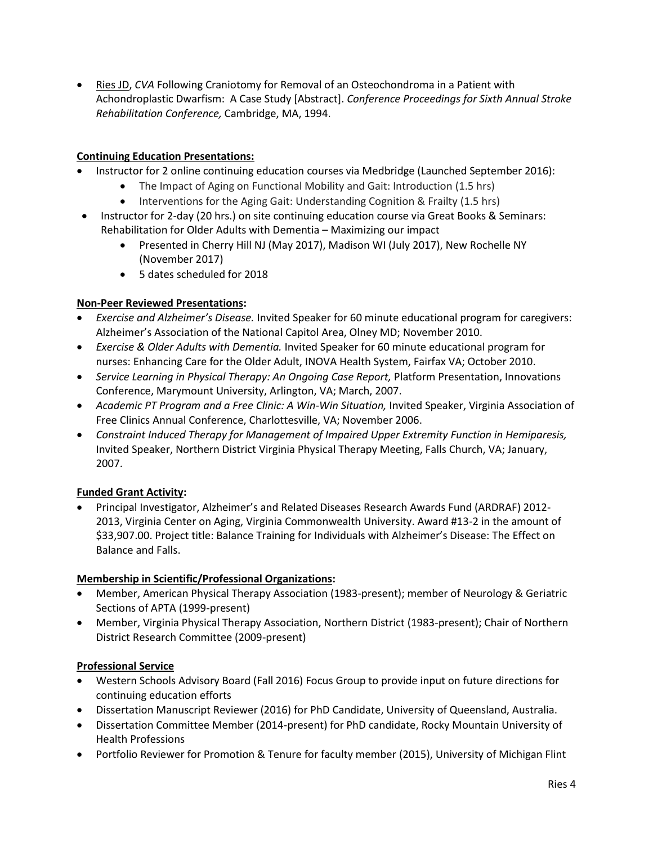• Ries JD, *CVA* Following Craniotomy for Removal of an Osteochondroma in a Patient with Achondroplastic Dwarfism: A Case Study [Abstract]. *Conference Proceedings for Sixth Annual Stroke Rehabilitation Conference,* Cambridge, MA, 1994.

## **Continuing Education Presentations:**

- Instructor for 2 online continuing education courses via Medbridge (Launched September 2016):
	- The Impact of Aging on Functional Mobility and Gait: Introduction (1.5 hrs)
	- Interventions for the Aging Gait: Understanding Cognition & Frailty (1.5 hrs)
- Instructor for 2-day (20 hrs.) on site continuing education course via Great Books & Seminars: Rehabilitation for Older Adults with Dementia – Maximizing our impact
	- Presented in Cherry Hill NJ (May 2017), Madison WI (July 2017), New Rochelle NY (November 2017)
	- 5 dates scheduled for 2018

## **Non-Peer Reviewed Presentations:**

- *Exercise and Alzheimer's Disease.* Invited Speaker for 60 minute educational program for caregivers: Alzheimer's Association of the National Capitol Area, Olney MD; November 2010.
- *Exercise & Older Adults with Dementia.* Invited Speaker for 60 minute educational program for nurses: Enhancing Care for the Older Adult, INOVA Health System, Fairfax VA; October 2010.
- *Service Learning in Physical Therapy: An Ongoing Case Report,* Platform Presentation, Innovations Conference, Marymount University, Arlington, VA; March, 2007.
- *Academic PT Program and a Free Clinic: A Win-Win Situation,* Invited Speaker, Virginia Association of Free Clinics Annual Conference, Charlottesville, VA; November 2006.
- *Constraint Induced Therapy for Management of Impaired Upper Extremity Function in Hemiparesis,* Invited Speaker, Northern District Virginia Physical Therapy Meeting, Falls Church, VA; January, 2007.

## **Funded Grant Activity:**

• Principal Investigator, Alzheimer's and Related Diseases Research Awards Fund (ARDRAF) 2012- 2013, Virginia Center on Aging, Virginia Commonwealth University. Award #13-2 in the amount of \$33,907.00. Project title: Balance Training for Individuals with Alzheimer's Disease: The Effect on Balance and Falls.

## **Membership in Scientific/Professional Organizations:**

- Member, American Physical Therapy Association (1983-present); member of Neurology & Geriatric Sections of APTA (1999-present)
- Member, Virginia Physical Therapy Association, Northern District (1983-present); Chair of Northern District Research Committee (2009-present)

## **Professional Service**

- Western Schools Advisory Board (Fall 2016) Focus Group to provide input on future directions for continuing education efforts
- Dissertation Manuscript Reviewer (2016) for PhD Candidate, University of Queensland, Australia.
- Dissertation Committee Member (2014-present) for PhD candidate, Rocky Mountain University of Health Professions
- Portfolio Reviewer for Promotion & Tenure for faculty member (2015), University of Michigan Flint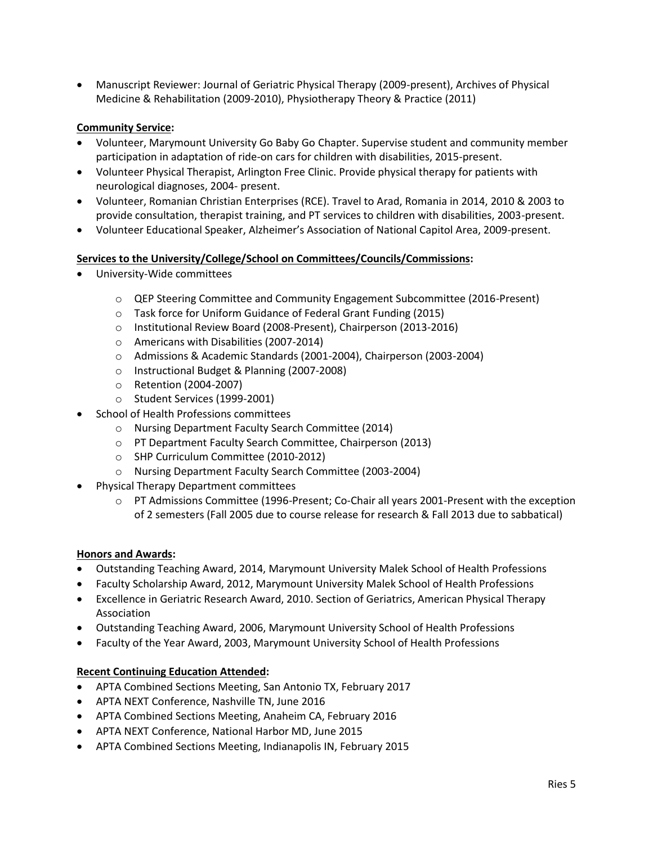• Manuscript Reviewer: Journal of Geriatric Physical Therapy (2009-present), Archives of Physical Medicine & Rehabilitation (2009-2010), Physiotherapy Theory & Practice (2011)

### **Community Service:**

- Volunteer, Marymount University Go Baby Go Chapter. Supervise student and community member participation in adaptation of ride-on cars for children with disabilities, 2015-present.
- Volunteer Physical Therapist, Arlington Free Clinic. Provide physical therapy for patients with neurological diagnoses, 2004- present.
- Volunteer, Romanian Christian Enterprises (RCE). Travel to Arad, Romania in 2014, 2010 & 2003 to provide consultation, therapist training, and PT services to children with disabilities, 2003-present.
- Volunteer Educational Speaker, Alzheimer's Association of National Capitol Area, 2009-present.

### **Services to the University/College/School on Committees/Councils/Commissions:**

- University-Wide committees
	- o QEP Steering Committee and Community Engagement Subcommittee (2016-Present)
	- o Task force for Uniform Guidance of Federal Grant Funding (2015)
	- o Institutional Review Board (2008-Present), Chairperson (2013-2016)
	- o Americans with Disabilities (2007-2014)
	- o Admissions & Academic Standards (2001-2004), Chairperson (2003-2004)
	- o Instructional Budget & Planning (2007-2008)
	- o Retention (2004-2007)
	- o Student Services (1999-2001)
- School of Health Professions committees
	- o Nursing Department Faculty Search Committee (2014)
	- o PT Department Faculty Search Committee, Chairperson (2013)
	- o SHP Curriculum Committee (2010-2012)
	- o Nursing Department Faculty Search Committee (2003-2004)
- Physical Therapy Department committees
	- o PT Admissions Committee (1996-Present; Co-Chair all years 2001-Present with the exception of 2 semesters (Fall 2005 due to course release for research & Fall 2013 due to sabbatical)

### **Honors and Awards:**

- Outstanding Teaching Award, 2014, Marymount University Malek School of Health Professions
- Faculty Scholarship Award, 2012, Marymount University Malek School of Health Professions
- Excellence in Geriatric Research Award, 2010. Section of Geriatrics, American Physical Therapy Association
- Outstanding Teaching Award, 2006, Marymount University School of Health Professions
- Faculty of the Year Award, 2003, Marymount University School of Health Professions

### **Recent Continuing Education Attended:**

- APTA Combined Sections Meeting, San Antonio TX, February 2017
- APTA NEXT Conference, Nashville TN, June 2016
- APTA Combined Sections Meeting, Anaheim CA, February 2016
- APTA NEXT Conference, National Harbor MD, June 2015
- APTA Combined Sections Meeting, Indianapolis IN, February 2015